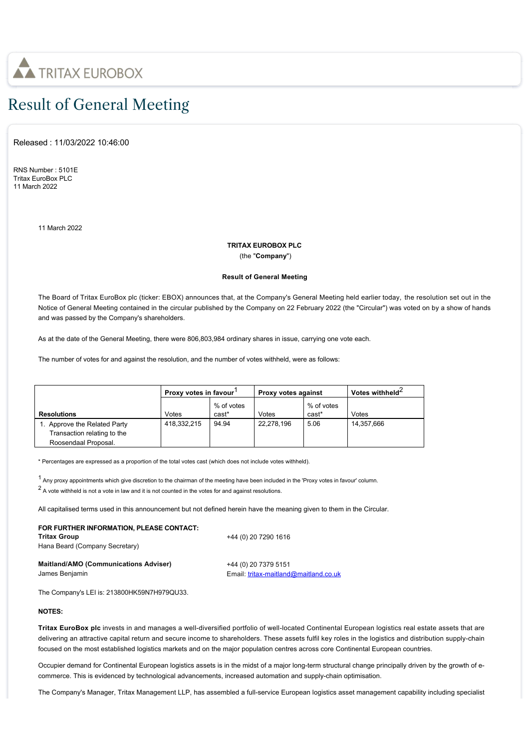

# Result of General Meeting

Released : 11/03/2022 10:46:00

RNS Number : 5101E Tritax EuroBox PLC 11 March 2022

11 March 2022

## **TRITAX EUROBOX PLC**

(the "**Company**")

### **Result of General Meeting**

The Board of Tritax EuroBox plc (ticker: EBOX) announces that, at the Company's General Meeting held earlier today, the resolution set out in the Notice of General Meeting contained in the circular published by the Company on 22 February 2022 (the "Circular") was voted on by a show of hands and was passed by the Company's shareholders.

As at the date of the General Meeting, there were 806,803,984 ordinary shares in issue, carrying one vote each.

The number of votes for and against the resolution, and the number of votes withheld, were as follows:

|                             | Proxy votes in favour |                     | Proxy votes against |                     | Votes withheld <sup>2</sup> |
|-----------------------------|-----------------------|---------------------|---------------------|---------------------|-----------------------------|
| <b>Resolutions</b>          | Votes                 | % of votes<br>cast* | Votes               | % of votes<br>cast* | Votes                       |
| Approve the Related Party   | 418.332.215           | 94.94               | 22.278.196          | 5.06                | 14.357.666                  |
| Transaction relating to the |                       |                     |                     |                     |                             |
| Roosendaal Proposal.        |                       |                     |                     |                     |                             |

\* Percentages are expressed as a proportion of the total votes cast (which does not include votes withheld).

<sup>1</sup> Any proxy appointments which give discretion to the chairman of the meeting have been included in the 'Proxy votes in favour' column.

 $2$  A vote withheld is not a vote in law and it is not counted in the votes for and against resolutions.

All capitalised terms used in this announcement but not defined herein have the meaning given to them in the Circular.

#### **FOR FURTHER INFORMATION, PLEASE CONTACT: Tritax Group**

Hana Beard (Company Secretary)

+44 (0) 20 7290 1616

**Maitland/AMO (Communications Adviser)** James Benjamin

+44 (0) 20 7379 5151 Email: [tritax-maitland@maitland.co.uk](mailto:tritax-maitland@maitland.co.uk)

The Company's LEI is: 213800HK59N7H979QU33.

#### **NOTES:**

**Tritax EuroBox plc** invests in and manages a well-diversified portfolio of well-located Continental European logistics real estate assets that are delivering an attractive capital return and secure income to shareholders. These assets fulfil key roles in the logistics and distribution supply-chain focused on the most established logistics markets and on the major population centres across core Continental European countries.

Occupier demand for Continental European logistics assets is in the midst of a major long-term structural change principally driven by the growth of ecommerce. This is evidenced by technological advancements, increased automation and supply-chain optimisation.

The Company's Manager, Tritax Management LLP, has assembled a full-service European logistics asset management capability including specialist